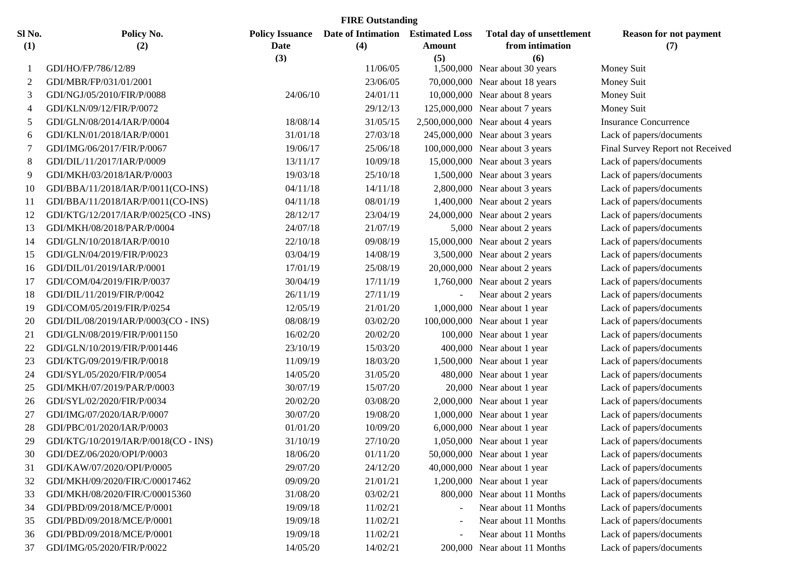|                | <b>FIRE Outstanding</b>              |                        |                                   |               |                                  |                                  |
|----------------|--------------------------------------|------------------------|-----------------------------------|---------------|----------------------------------|----------------------------------|
| Sl No.         | Policy No.                           | <b>Policy Issuance</b> | Date of Intimation Estimated Loss |               | Total day of unsettlement        | <b>Reason for not payment</b>    |
| (1)            | (2)                                  | Date                   | (4)                               | <b>Amount</b> | from intimation                  | (7)                              |
|                |                                      | (3)                    |                                   | (5)           | (6)                              |                                  |
| -1             | GDI/HO/FP/786/12/89                  |                        | 11/06/05                          |               | 1,500,000 Near about 30 years    | Money Suit                       |
| $\overline{c}$ | GDI/MBR/FP/031/01/2001               |                        | 23/06/05                          |               | 70,000,000 Near about 18 years   | <b>Money Suit</b>                |
| 3              | GDI/NGJ/05/2010/FIR/P/0088           | 24/06/10               | 24/01/11                          |               | 10,000,000 Near about 8 years    | Money Suit                       |
| 4              | GDI/KLN/09/12/FIR/P/0072             |                        | 29/12/13                          |               | 125,000,000 Near about 7 years   | Money Suit                       |
| 5              | GDI/GLN/08/2014/IAR/P/0004           | 18/08/14               | 31/05/15                          |               | 2,500,000,000 Near about 4 years | <b>Insurance Concurrence</b>     |
| 6              | GDI/KLN/01/2018/IAR/P/0001           | 31/01/18               | 27/03/18                          |               | 245,000,000 Near about 3 years   | Lack of papers/documents         |
| 7              | GDI/IMG/06/2017/FIR/P/0067           | 19/06/17               | 25/06/18                          |               | 100,000,000 Near about 3 years   | Final Survey Report not Received |
| 8              | GDI/DIL/11/2017/IAR/P/0009           | 13/11/17               | 10/09/18                          |               | 15,000,000 Near about 3 years    | Lack of papers/documents         |
| 9              | GDI/MKH/03/2018/IAR/P/0003           | 19/03/18               | 25/10/18                          |               | 1,500,000 Near about 3 years     | Lack of papers/documents         |
| 10             | GDI/BBA/11/2018/IAR/P/0011(CO-INS)   | 04/11/18               | 14/11/18                          |               | 2,800,000 Near about 3 years     | Lack of papers/documents         |
| 11             | GDI/BBA/11/2018/IAR/P/0011(CO-INS)   | 04/11/18               | 08/01/19                          |               | 1,400,000 Near about 2 years     | Lack of papers/documents         |
| 12             | GDI/KTG/12/2017/IAR/P/0025(CO-INS)   | 28/12/17               | 23/04/19                          |               | 24,000,000 Near about 2 years    | Lack of papers/documents         |
| 13             | GDI/MKH/08/2018/PAR/P/0004           | 24/07/18               | 21/07/19                          |               | 5,000 Near about 2 years         | Lack of papers/documents         |
| 14             | GDI/GLN/10/2018/IAR/P/0010           | 22/10/18               | 09/08/19                          |               | 15,000,000 Near about 2 years    | Lack of papers/documents         |
| 15             | GDI/GLN/04/2019/FIR/P/0023           | 03/04/19               | 14/08/19                          |               | 3,500,000 Near about 2 years     | Lack of papers/documents         |
| 16             | GDI/DIL/01/2019/IAR/P/0001           | 17/01/19               | 25/08/19                          |               | 20,000,000 Near about 2 years    | Lack of papers/documents         |
| 17             | GDI/COM/04/2019/FIR/P/0037           | 30/04/19               | 17/11/19                          |               | 1,760,000 Near about 2 years     | Lack of papers/documents         |
| 18             | GDI/DIL/11/2019/FIR/P/0042           | 26/11/19               | 27/11/19                          |               | Near about 2 years               | Lack of papers/documents         |
| 19             | GDI/COM/05/2019/FIR/P/0254           | 12/05/19               | 21/01/20                          |               | 1,000,000 Near about 1 year      | Lack of papers/documents         |
| 20             | GDI/DIL/08/2019/IAR/P/0003(CO - INS) | 08/08/19               | 03/02/20                          |               | 100,000,000 Near about 1 year    | Lack of papers/documents         |
| 21             | GDI/GLN/08/2019/FIR/P/001150         | 16/02/20               | 20/02/20                          |               | 100,000 Near about 1 year        | Lack of papers/documents         |
| 22             | GDI/GLN/10/2019/FIR/P/001446         | 23/10/19               | 15/03/20                          |               | 400,000 Near about 1 year        | Lack of papers/documents         |
| 23             | GDI/KTG/09/2019/FIR/P/0018           | 11/09/19               | 18/03/20                          |               | 1,500,000 Near about 1 year      | Lack of papers/documents         |
| 24             | GDI/SYL/05/2020/FIR/P/0054           | 14/05/20               | 31/05/20                          |               | 480,000 Near about 1 year        | Lack of papers/documents         |
| 25             | GDI/MKH/07/2019/PAR/P/0003           | 30/07/19               | 15/07/20                          |               | 20,000 Near about 1 year         | Lack of papers/documents         |
| 26             | GDI/SYL/02/2020/FIR/P/0034           | 20/02/20               | 03/08/20                          |               | 2,000,000 Near about 1 year      | Lack of papers/documents         |
| 27             | GDI/IMG/07/2020/IAR/P/0007           | 30/07/20               | 19/08/20                          |               | 1,000,000 Near about 1 year      | Lack of papers/documents         |
| 28             | GDI/PBC/01/2020/IAR/P/0003           | 01/01/20               | 10/09/20                          |               | 6,000,000 Near about 1 year      | Lack of papers/documents         |
| 29             | GDI/KTG/10/2019/IAR/P/0018(CO - INS) | 31/10/19               | 27/10/20                          |               | 1,050,000 Near about 1 year      | Lack of papers/documents         |
| 30             | GDI/DEZ/06/2020/OPI/P/0003           | 18/06/20               | 01/11/20                          |               | 50,000,000 Near about 1 year     | Lack of papers/documents         |
| 31             | GDI/KAW/07/2020/OPI/P/0005           | 29/07/20               | 24/12/20                          |               | 40,000,000 Near about 1 year     | Lack of papers/documents         |
| 32             | GDI/MKH/09/2020/FIR/C/00017462       | 09/09/20               | 21/01/21                          |               | $1,200,000$ Near about 1 year    | Lack of papers/documents         |
| 33             | GDI/MKH/08/2020/FIR/C/00015360       | 31/08/20               | 03/02/21                          |               | 800,000 Near about 11 Months     | Lack of papers/documents         |
| 34             | GDI/PBD/09/2018/MCE/P/0001           | 19/09/18               | 11/02/21                          |               | Near about 11 Months             | Lack of papers/documents         |
| 35             | GDI/PBD/09/2018/MCE/P/0001           | 19/09/18               | 11/02/21                          |               | Near about 11 Months             | Lack of papers/documents         |
| 36             | GDI/PBD/09/2018/MCE/P/0001           | 19/09/18               | 11/02/21                          |               | Near about 11 Months             | Lack of papers/documents         |
| 37             | GDI/IMG/05/2020/FIR/P/0022           | 14/05/20               | 14/02/21                          |               | 200,000 Near about 11 Months     | Lack of papers/documents         |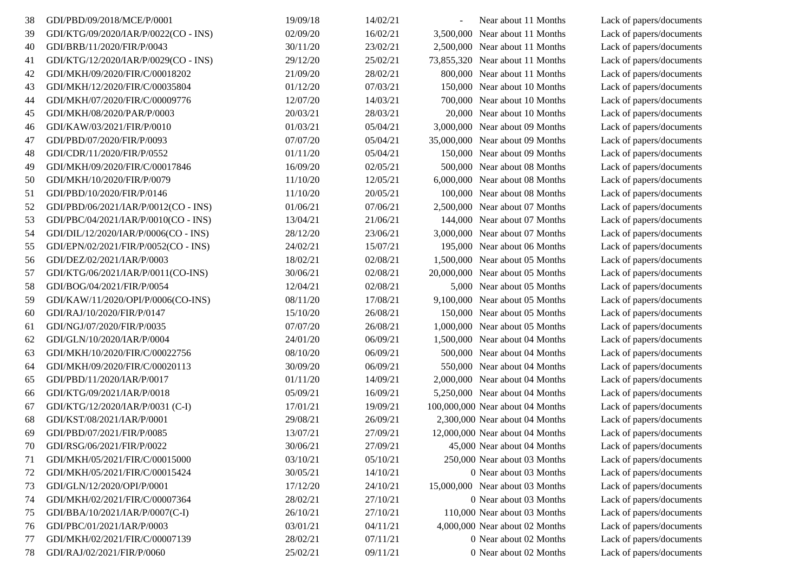| 38 | GDI/PBD/09/2018/MCE/P/0001           | 19/09/18 | 14/02/21 | Near about 11 Months             | Lack of papers/documents |
|----|--------------------------------------|----------|----------|----------------------------------|--------------------------|
| 39 | GDI/KTG/09/2020/IAR/P/0022(CO - INS) | 02/09/20 | 16/02/21 | 3,500,000 Near about 11 Months   | Lack of papers/documents |
| 40 | GDI/BRB/11/2020/FIR/P/0043           | 30/11/20 | 23/02/21 | 2,500,000 Near about 11 Months   | Lack of papers/documents |
| 41 | GDI/KTG/12/2020/IAR/P/0029(CO - INS) | 29/12/20 | 25/02/21 | 73,855,320 Near about 11 Months  | Lack of papers/documents |
| 42 | GDI/MKH/09/2020/FIR/C/00018202       | 21/09/20 | 28/02/21 | 800,000 Near about 11 Months     | Lack of papers/documents |
| 43 | GDI/MKH/12/2020/FIR/C/00035804       | 01/12/20 | 07/03/21 | 150,000 Near about 10 Months     | Lack of papers/documents |
| 44 | GDI/MKH/07/2020/FIR/C/00009776       | 12/07/20 | 14/03/21 | 700,000 Near about 10 Months     | Lack of papers/documents |
| 45 | GDI/MKH/08/2020/PAR/P/0003           | 20/03/21 | 28/03/21 | 20,000 Near about 10 Months      | Lack of papers/documents |
| 46 | GDI/KAW/03/2021/FIR/P/0010           | 01/03/21 | 05/04/21 | 3,000,000 Near about 09 Months   | Lack of papers/documents |
| 47 | GDI/PBD/07/2020/FIR/P/0093           | 07/07/20 | 05/04/21 | 35,000,000 Near about 09 Months  | Lack of papers/documents |
| 48 | GDI/CDR/11/2020/FIR/P/0552           | 01/11/20 | 05/04/21 | 150,000 Near about 09 Months     | Lack of papers/documents |
| 49 | GDI/MKH/09/2020/FIR/C/00017846       | 16/09/20 | 02/05/21 | 500,000 Near about 08 Months     | Lack of papers/documents |
| 50 | GDI/MKH/10/2020/FIR/P/0079           | 11/10/20 | 12/05/21 | 6,000,000 Near about 08 Months   | Lack of papers/documents |
| 51 | GDI/PBD/10/2020/FIR/P/0146           | 11/10/20 | 20/05/21 | 100,000 Near about 08 Months     | Lack of papers/documents |
| 52 | GDI/PBD/06/2021/IAR/P/0012(CO - INS) | 01/06/21 | 07/06/21 | 2,500,000 Near about 07 Months   | Lack of papers/documents |
| 53 | GDI/PBC/04/2021/IAR/P/0010(CO - INS) | 13/04/21 | 21/06/21 | 144,000 Near about 07 Months     | Lack of papers/documents |
| 54 | GDI/DIL/12/2020/IAR/P/0006(CO - INS) | 28/12/20 | 23/06/21 | 3,000,000 Near about 07 Months   | Lack of papers/documents |
| 55 | GDI/EPN/02/2021/FIR/P/0052(CO - INS) | 24/02/21 | 15/07/21 | 195,000 Near about 06 Months     | Lack of papers/documents |
| 56 | GDI/DEZ/02/2021/IAR/P/0003           | 18/02/21 | 02/08/21 | 1,500,000 Near about 05 Months   | Lack of papers/documents |
| 57 | GDI/KTG/06/2021/IAR/P/0011(CO-INS)   | 30/06/21 | 02/08/21 | 20,000,000 Near about 05 Months  | Lack of papers/documents |
| 58 | GDI/BOG/04/2021/FIR/P/0054           | 12/04/21 | 02/08/21 | 5,000 Near about 05 Months       | Lack of papers/documents |
| 59 | GDI/KAW/11/2020/OPI/P/0006(CO-INS)   | 08/11/20 | 17/08/21 | 9,100,000 Near about 05 Months   | Lack of papers/documents |
| 60 | GDI/RAJ/10/2020/FIR/P/0147           | 15/10/20 | 26/08/21 | 150,000 Near about 05 Months     | Lack of papers/documents |
| 61 | GDI/NGJ/07/2020/FIR/P/0035           | 07/07/20 | 26/08/21 | 1,000,000 Near about 05 Months   | Lack of papers/documents |
| 62 | GDI/GLN/10/2020/IAR/P/0004           | 24/01/20 | 06/09/21 | 1,500,000 Near about 04 Months   | Lack of papers/documents |
| 63 | GDI/MKH/10/2020/FIR/C/00022756       | 08/10/20 | 06/09/21 | 500,000 Near about 04 Months     | Lack of papers/documents |
| 64 | GDI/MKH/09/2020/FIR/C/00020113       | 30/09/20 | 06/09/21 | 550,000 Near about 04 Months     | Lack of papers/documents |
| 65 | GDI/PBD/11/2020/IAR/P/0017           | 01/11/20 | 14/09/21 | 2,000,000 Near about 04 Months   | Lack of papers/documents |
| 66 | GDI/KTG/09/2021/IAR/P/0018           | 05/09/21 | 16/09/21 | 5,250,000 Near about 04 Months   | Lack of papers/documents |
| 67 | GDI/KTG/12/2020/IAR/P/0031 (C-I)     | 17/01/21 | 19/09/21 | 100,000,000 Near about 04 Months | Lack of papers/documents |
| 68 | GDI/KST/08/2021/IAR/P/0001           | 29/08/21 | 26/09/21 | 2,300,000 Near about 04 Months   | Lack of papers/documents |
| 69 | GDI/PBD/07/2021/FIR/P/0085           | 13/07/21 | 27/09/21 | 12,000,000 Near about 04 Months  | Lack of papers/documents |
| 70 | GDI/RSG/06/2021/FIR/P/0022           | 30/06/21 | 27/09/21 | 45,000 Near about 04 Months      | Lack of papers/documents |
| 71 | GDI/MKH/05/2021/FIR/C/00015000       | 03/10/21 | 05/10/21 | 250,000 Near about 03 Months     | Lack of papers/documents |
| 72 | GDI/MKH/05/2021/FIR/C/00015424       | 30/05/21 | 14/10/21 | 0 Near about 03 Months           | Lack of papers/documents |
| 73 | GDI/GLN/12/2020/OPI/P/0001           | 17/12/20 | 24/10/21 | 15,000,000 Near about 03 Months  | Lack of papers/documents |
| 74 | GDI/MKH/02/2021/FIR/C/00007364       | 28/02/21 | 27/10/21 | 0 Near about 03 Months           | Lack of papers/documents |
| 75 | GDI/BBA/10/2021/IAR/P/0007(C-I)      | 26/10/21 | 27/10/21 | 110,000 Near about 03 Months     | Lack of papers/documents |
| 76 | GDI/PBC/01/2021/IAR/P/0003           | 03/01/21 | 04/11/21 | 4,000,000 Near about 02 Months   | Lack of papers/documents |
| 77 | GDI/MKH/02/2021/FIR/C/00007139       | 28/02/21 | 07/11/21 | 0 Near about 02 Months           | Lack of papers/documents |
| 78 | GDI/RAJ/02/2021/FIR/P/0060           | 25/02/21 | 09/11/21 | 0 Near about 02 Months           | Lack of papers/documents |